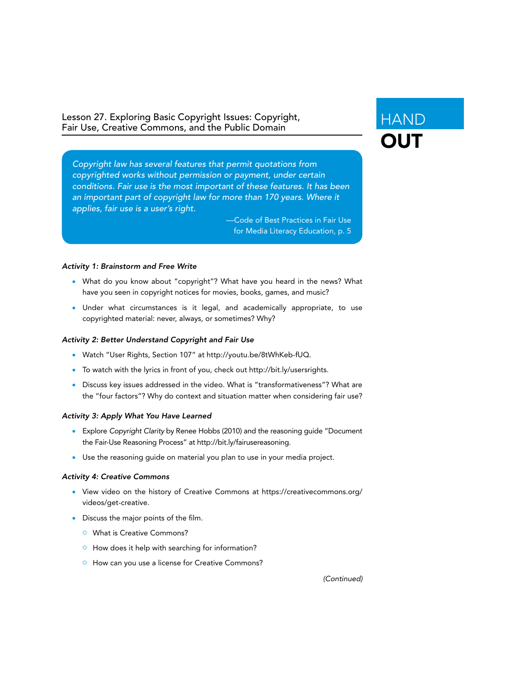Lesson 27. Exploring Basic Copyright Issues: Copyright, Fair Use, Creative Commons, and the Public Domain

*Copyright law has several features that permit quotations from copyrighted works without permission or payment, under certain conditions. Fair use is the most important of these features. It has been*  an important part of copyright law for more than 170 years. Where it *applies, fair use is a user's right.*

> —Code of Best Practices in Fair Use for Media Literacy Education, p. 5

## *Activity 1: Brainstorm and Free Write*

- What do you know about "copyright"? What have you heard in the news? What have you seen in copyright notices for movies, books, games, and music?
- Under what circumstances is it legal, and academically appropriate, to use copyrighted material: never, always, or sometimes? Why?

## *Activity 2: Better Understand Copyright and Fair Use*

- Watch "User Rights, Section 107" at http://youtu.be/8tWhKeb-fUQ.
- To watch with the lyrics in front of you, check out http://bit.ly/usersrights.
- Discuss key issues addressed in the video. What is "transformativeness"? What are the "four factors"? Why do context and situation matter when considering fair use?

### *Activity 3: Apply What You Have Learned*

- Explore *Copyright Clarity* by Renee Hobbs (2010) and the reasoning guide "Document the Fair-Use Reasoning Process" at http://bit.ly/fairusereasoning.
- Use the reasoning guide on material you plan to use in your media project.

## *Activity 4: Creative Commons*

- View video on the history of Creative Commons at https://creativecommons.org/ videos/get-creative.
- Discuss the major points of the film.
	- **O** What is Creative Commons?
	- $\circ$  How does it help with searching for information?
	- **o** How can you use a license for Creative Commons?

*(Continued)*

# HAND **OUT**